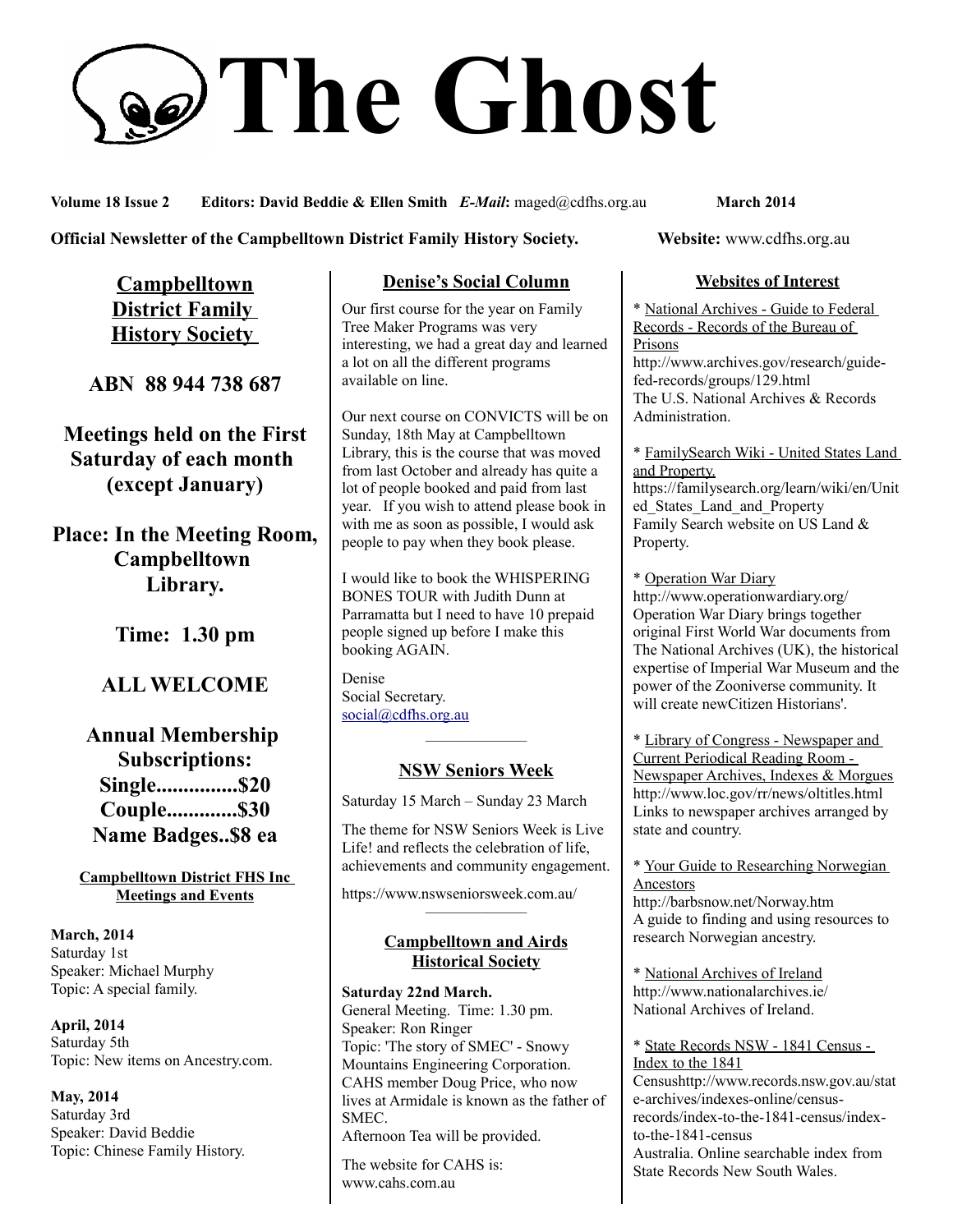# **The Ghost**

**Volume 18 Issue 2 Editors: David Beddie & Ellen Smith** *E-Mail***:** maged@cdfhs.org.au **March 2014**

#### **Official Newsletter of the Campbelltown District Family History Society. Website: www.cdfhs.org.au**

**Campbelltown District Family History Society** 

**ABN 88 944 738 687**

**Meetings held on the First Saturday of each month (except January)**

**Place: In the Meeting Room, Campbelltown Library.**

**Time: 1.30 pm**

# **ALL WELCOME**

**Annual Membership Subscriptions: Single...............\$20 Couple.............\$30 Name Badges..\$8 ea**

**Campbelltown District FHS Inc Meetings and Events**

**March, 2014** Saturday 1st Speaker: Michael Murphy Topic: A special family.

**April, 2014** Saturday 5th Topic: New items on Ancestry.com.

**May, 2014** Saturday 3rd Speaker: David Beddie Topic: Chinese Family History.

## **Denise's Social Column**

Our first course for the year on Family Tree Maker Programs was very interesting, we had a great day and learned a lot on all the different programs available on line.

Our next course on CONVICTS will be on Sunday, 18th May at Campbelltown Library, this is the course that was moved from last October and already has quite a lot of people booked and paid from last year. If you wish to attend please book in with me as soon as possible, I would ask people to pay when they book please.

I would like to book the WHISPERING BONES TOUR with Judith Dunn at Parramatta but I need to have 10 prepaid people signed up before I make this booking AGAIN.

Denise Social Secretary. [social@cdfhs.org.au](mailto:social@cdfhs.org.au)

# ——————– **NSW Seniors Week**

Saturday 15 March – Sunday 23 March

The theme for NSW Seniors Week is Live Life! and reflects the celebration of life, achievements and community engagement.

https://www.nswseniorsweek.com.au/

#### **Campbelltown and Airds Historical Society**

——————–

**Saturday 22nd March.** General Meeting. Time: 1.30 pm. Speaker: Ron Ringer Topic: 'The story of SMEC' - Snowy Mountains Engineering Corporation. CAHS member Doug Price, who now lives at Armidale is known as the father of **SMEC** Afternoon Tea will be provided.

The website for CAHS is: www.cahs.com.au

### **Websites of Interest**

\* National Archives - Guide to Federal Records - Records of the Bureau of Prisons http://www.archives.gov/research/guidefed-records/groups/129.html The U.S. National Archives & Records Administration.

\* FamilySearch Wiki - United States Land and Property.

https://familysearch.org/learn/wiki/en/Unit ed\_States\_Land\_and\_Property Family Search website on US Land & Property.

\* Operation War Diary http://www.operationwardiary.org/ Operation War Diary brings together original First World War documents from The National Archives (UK), the historical expertise of Imperial War Museum and the power of the Zooniverse community. It will create newCitizen Historians'.

\* Library of Congress - Newspaper and Current Periodical Reading Room - Newspaper Archives, Indexes & Morgues http://www.loc.gov/rr/news/oltitles.html Links to newspaper archives arranged by state and country.

\* Your Guide to Researching Norwegian Ancestors

http://barbsnow.net/Norway.htm A guide to finding and using resources to research Norwegian ancestry.

\* National Archives of Ireland http://www.nationalarchives.ie/ National Archives of Ireland.

\* State Records NSW - 1841 Census - Index to the 1841 Censushttp://www.records.nsw.gov.au/stat e-archives/indexes-online/censusrecords/index-to-the-1841-census/indexto-the-1841-census Australia. Online searchable index from State Records New South Wales.